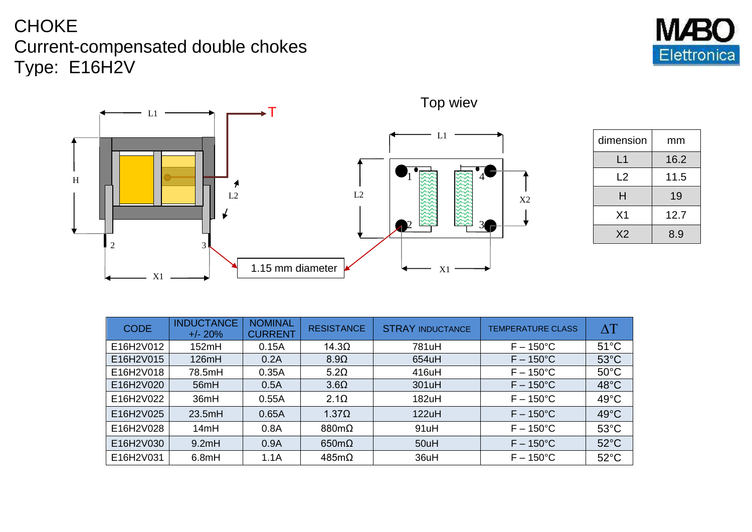## CHOKE Current-compensated double chokes Type: E16H2V





| dimension      | mm   |  |
|----------------|------|--|
| L1             | 16.2 |  |
| L2             | 11.5 |  |
| н              | 19   |  |
| X <sub>1</sub> | 12.7 |  |
| X <sub>2</sub> | 8.9  |  |

| <b>CODE</b> | <b>INDUCTANCE</b><br>$+/- 20%$ | <b>NOMINAL</b><br><b>CURRENT</b> | <b>RESISTANCE</b>                                                                                                 | <b>STRAY INDUCTANCE</b> | <b>TEMPERATURE CLASS</b> | $\Delta T$     |
|-------------|--------------------------------|----------------------------------|-------------------------------------------------------------------------------------------------------------------|-------------------------|--------------------------|----------------|
| E16H2V012   | 152mH                          | 0.15A                            | 14.3 <omega< td=""><td>781uH</td><td><math>F - 150^{\circ}</math>C</td><td><math>51^{\circ}</math>C</td></omega<> | 781uH                   | $F - 150^{\circ}$ C      | $51^{\circ}$ C |
| E16H2V015   | 126mH                          | 0.2A                             | $8.9\Omega$                                                                                                       | 654uH                   | $F - 150^{\circ}$ C      | $53^{\circ}$ C |
| E16H2V018   | 78.5mH                         | 0.35A                            | $5.2\Omega$                                                                                                       | 416uH                   | $F - 150^{\circ}$ C      | $50^{\circ}$ C |
| E16H2V020   | 56mH                           | 0.5A                             | $3.6\Omega$                                                                                                       | 301uH                   | $F - 150^{\circ}$ C      | $48^{\circ}$ C |
| E16H2V022   | 36mH                           | 0.55A                            | $2.1\Omega$                                                                                                       | 182uH                   | $F - 150^{\circ}$ C      | $49^{\circ}$ C |
| E16H2V025   | 23.5mH                         | 0.65A                            | $1.37\Omega$                                                                                                      | 122uH                   | $F - 150^{\circ}$ C      | $49^{\circ}$ C |
| E16H2V028   | 14mH                           | 0.8A                             | $880m\Omega$                                                                                                      | 91uH                    | $F - 150^{\circ}$ C      | $53^{\circ}$ C |
| E16H2V030   | 9.2mH                          | 0.9A                             | $650m\Omega$                                                                                                      | 50uH                    | $F - 150^{\circ}$ C      | $52^{\circ}$ C |
| E16H2V031   | 6.8mH                          | 1.1A                             | $485m\Omega$                                                                                                      | 36uH                    | $F - 150^{\circ}$ C      | $52^{\circ}$ C |